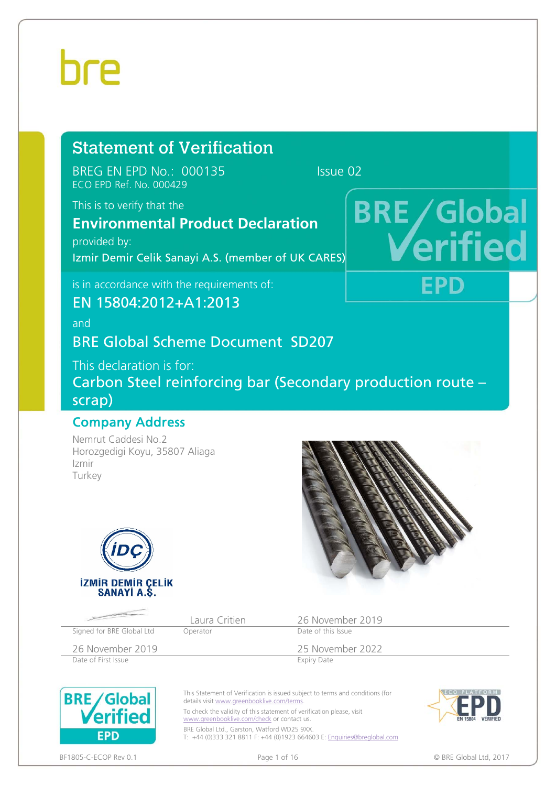## Statement of Verification

BREG EN EPD No.: 000135 Issue 02 ECO EPD Ref. No. 000429

**BRE/Global** 

FPD

This is to verify that the

## **Environmental Product Declaration**

provided by:

Izmir Demir Celik Sanayi A.S. (member of UK CARES)

is in accordance with the requirements of:

EN 15804:2012+A1:2013

and

## BRE Global Scheme Document SD207

Laura Critie

This declaration is for: Carbon Steel reinforcing bar (Secondary production route – scrap)

### Company Address

Nemrut Caddesi No.2 Horozgedigi Koyu, 35807 Aliaga Izmir Turkey





| <b>AIDC</b>                             |  |
|-----------------------------------------|--|
| <b>ZMİR DEMİR ÇELİK<br/>Sanayi A.Ş.</b> |  |
|                                         |  |

Signed for BRE Global Ltd Operator



| 26 November 2019   |
|--------------------|
| Date of this Issue |
| 25 November 2022   |
|                    |

26 November 2019<br>
Date of First Issue Expiry Date Date of First Issue



This Statement of Verification is issued subject to terms and conditions (for details visit www.greenbooklive.com/terms

To check the validity of this statement of verification please, visit www.greenbooklive.com/check or contact us.

BRE Global Ltd., Garston, Watford WD25 9XX. T: +44 (0)333 321 8811 F: +44 (0)1923 664603 E: Enquiries@breglobal.com



BF1805-C-ECOP Rev 0.1 **Details a contract that the contract of 16** and the contract of 16 **CD** BRE Global Ltd, 2017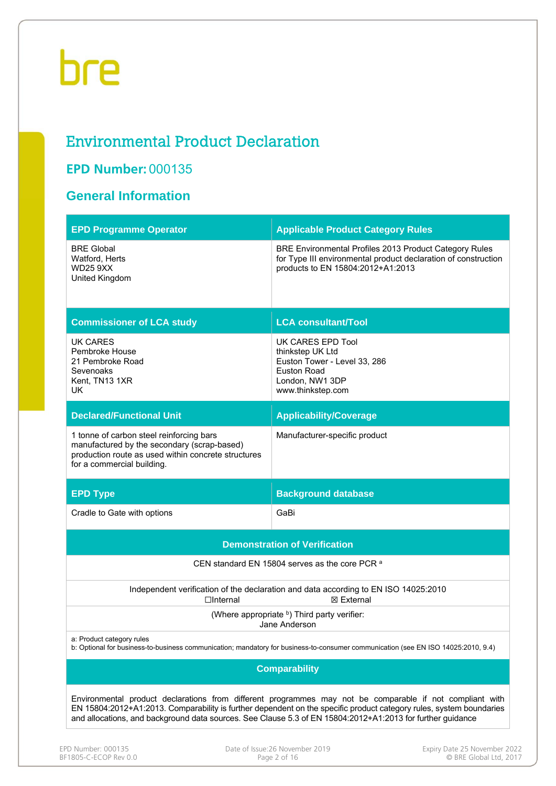## Environmental Product Declaration

## **EPD Number:** 000135

### **General Information**

| <b>EPD Programme Operator</b>                                                                                                                                                | <b>Applicable Product Category Rules</b>                                                                                                                                                                                                                                                                                                      |  |  |  |
|------------------------------------------------------------------------------------------------------------------------------------------------------------------------------|-----------------------------------------------------------------------------------------------------------------------------------------------------------------------------------------------------------------------------------------------------------------------------------------------------------------------------------------------|--|--|--|
| <b>BRE Global</b><br>Watford, Herts<br><b>WD25 9XX</b><br>United Kingdom                                                                                                     | BRE Environmental Profiles 2013 Product Category Rules<br>for Type III environmental product declaration of construction<br>products to EN 15804:2012+A1:2013                                                                                                                                                                                 |  |  |  |
| <b>Commissioner of LCA study</b>                                                                                                                                             | <b>LCA consultant/Tool</b>                                                                                                                                                                                                                                                                                                                    |  |  |  |
| UK CARES<br>Pembroke House<br>21 Pembroke Road<br>Sevenoaks<br>Kent, TN13 1XR<br>UK.                                                                                         | UK CARES EPD Tool<br>thinkstep UK Ltd<br>Euston Tower - Level 33, 286<br><b>Euston Road</b><br>London, NW1 3DP<br>www.thinkstep.com                                                                                                                                                                                                           |  |  |  |
| <b>Declared/Functional Unit</b>                                                                                                                                              | <b>Applicability/Coverage</b>                                                                                                                                                                                                                                                                                                                 |  |  |  |
| 1 tonne of carbon steel reinforcing bars<br>manufactured by the secondary (scrap-based)<br>production route as used within concrete structures<br>for a commercial building. | Manufacturer-specific product                                                                                                                                                                                                                                                                                                                 |  |  |  |
| <b>EPD Type</b>                                                                                                                                                              | <b>Background database</b>                                                                                                                                                                                                                                                                                                                    |  |  |  |
| Cradle to Gate with options                                                                                                                                                  | GaBi                                                                                                                                                                                                                                                                                                                                          |  |  |  |
|                                                                                                                                                                              | <b>Demonstration of Verification</b>                                                                                                                                                                                                                                                                                                          |  |  |  |
|                                                                                                                                                                              | CEN standard EN 15804 serves as the core PCR <sup>a</sup>                                                                                                                                                                                                                                                                                     |  |  |  |
| $\Box$ Internal                                                                                                                                                              | Independent verification of the declaration and data according to EN ISO 14025:2010<br>⊠ External                                                                                                                                                                                                                                             |  |  |  |
|                                                                                                                                                                              | (Where appropriate b) Third party verifier:<br>Jane Anderson                                                                                                                                                                                                                                                                                  |  |  |  |
| a: Product category rules                                                                                                                                                    | b: Optional for business-to-business communication; mandatory for business-to-consumer communication (see EN ISO 14025:2010, 9.4)                                                                                                                                                                                                             |  |  |  |
|                                                                                                                                                                              | <b>Comparability</b>                                                                                                                                                                                                                                                                                                                          |  |  |  |
|                                                                                                                                                                              | Environmental product declarations from different programmes may not be comparable if not compliant with<br>EN 15804:2012+A1:2013. Comparability is further dependent on the specific product category rules, system boundaries<br>and allocations, and background data sources. See Clause 5.3 of EN 15804:2012+A1:2013 for further guidance |  |  |  |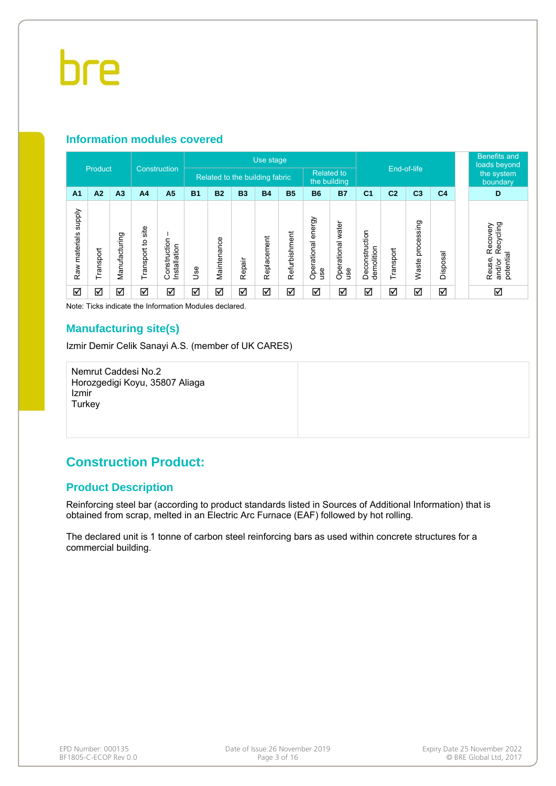#### **Information modules covered**

|                                   |                      |                |                      |                                  |            |             |           | Use stage                      |               |                                     |                          |                              |                |                     |                        | <b>Benefits and</b><br>loads beyond                    |
|-----------------------------------|----------------------|----------------|----------------------|----------------------------------|------------|-------------|-----------|--------------------------------|---------------|-------------------------------------|--------------------------|------------------------------|----------------|---------------------|------------------------|--------------------------------------------------------|
|                                   | Product              |                |                      | Construction                     |            |             |           | Related to the building fabric |               | <b>Related to</b><br>the building   |                          | End-of-life                  |                |                     | the system<br>boundary |                                                        |
| A <sub>1</sub>                    | A2                   | A <sub>3</sub> | A <sub>4</sub>       | A <sub>5</sub>                   | <b>B1</b>  | <b>B2</b>   | <b>B3</b> | <b>B4</b>                      | <b>B5</b>     | <b>B6</b>                           | <b>B7</b>                | C <sub>1</sub>               | C <sub>2</sub> | C <sub>3</sub>      | C <sub>4</sub>         | D                                                      |
| <b>Alddns</b><br>materials<br>Raw | Transport            | Manufacturing  | site<br>Transport to | onstruction<br>Installation<br>Ō | <b>Jse</b> | Maintenance | Repair    | Replacement                    | Refurbishment | energy<br>Operational<br><b>use</b> | Operational water<br>use | Deconstruction<br>demolition | Transport      | processing<br>Waste | Disposal               | Recycling<br>Recovery<br>potential<br>Reuse,<br>and/or |
| ☑                                 | $\blacktriangledown$ | ☑              | ☑                    | ☑                                | ☑          | ☑           | ☑         | ☑                              | ☑             | ☑                                   | ☑                        | ☑                            | ☑              | ☑                   | ☑                      | ☑                                                      |

Note: Ticks indicate the Information Modules declared.

#### **Manufacturing site(s)**

Izmir Demir Celik Sanayi A.S. (member of UK CARES)

Nemrut Caddesi No.2 Horozgedigi Koyu, 35807 Aliaga Izmir **Turkey** 

### **Construction Product:**

#### **Product Description**

Reinforcing steel bar (according to product standards listed in Sources of Additional Information) that is obtained from scrap, melted in an Electric Arc Furnace (EAF) followed by hot rolling.

The declared unit is 1 tonne of carbon steel reinforcing bars as used within concrete structures for a commercial building.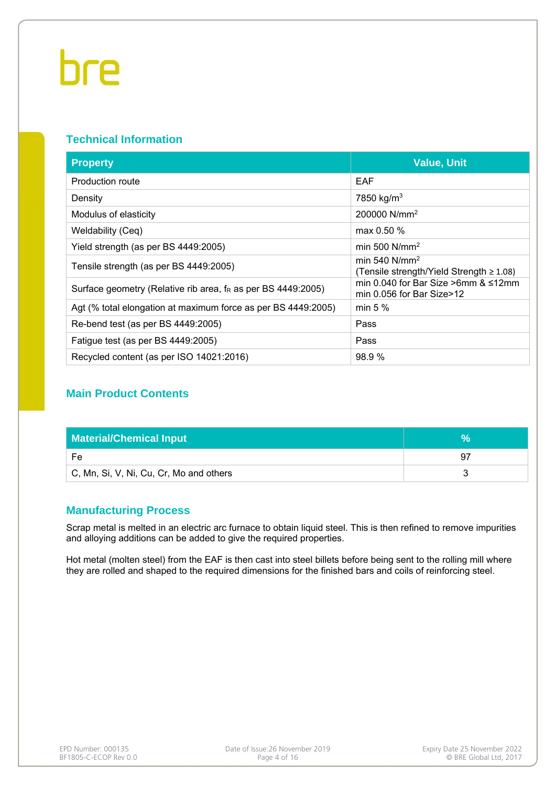#### **Technical Information**

| <b>Property</b>                                                 | <b>Value, Unit</b>                                                 |
|-----------------------------------------------------------------|--------------------------------------------------------------------|
| Production route                                                | EAF                                                                |
| Density                                                         | 7850 kg/m <sup>3</sup>                                             |
| Modulus of elasticity                                           | 200000 N/mm <sup>2</sup>                                           |
| Weldability (Ceq)                                               | max $0.50\%$                                                       |
| Yield strength (as per BS 4449:2005)                            | min 500 $N/mm^2$                                                   |
| Tensile strength (as per BS 4449:2005)                          | min 540 $N/mm^2$<br>(Tensile strength/Yield Strength $\geq 1.08$ ) |
| Surface geometry (Relative rib area, $f_R$ as per BS 4449:2005) | min 0.040 for Bar Size >6mm $<12$ mm<br>min 0.056 for Bar Size>12  |
| Agt (% total elongation at maximum force as per BS 4449:2005)   | min 5 $%$                                                          |
| Re-bend test (as per BS 4449:2005)                              | Pass                                                               |
| Fatigue test (as per BS 4449:2005)                              | Pass                                                               |
| Recycled content (as per ISO 14021:2016)                        | 98.9 %                                                             |

#### **Main Product Contents**

| <b>Material/Chemical Input</b>          | $\mathcal{A}$ |
|-----------------------------------------|---------------|
| Fe                                      | 97            |
| C, Mn, Si, V, Ni, Cu, Cr, Mo and others |               |

#### **Manufacturing Process**

Scrap metal is melted in an electric arc furnace to obtain liquid steel. This is then refined to remove impurities and alloying additions can be added to give the required properties.

Hot metal (molten steel) from the EAF is then cast into steel billets before being sent to the rolling mill where they are rolled and shaped to the required dimensions for the finished bars and coils of reinforcing steel.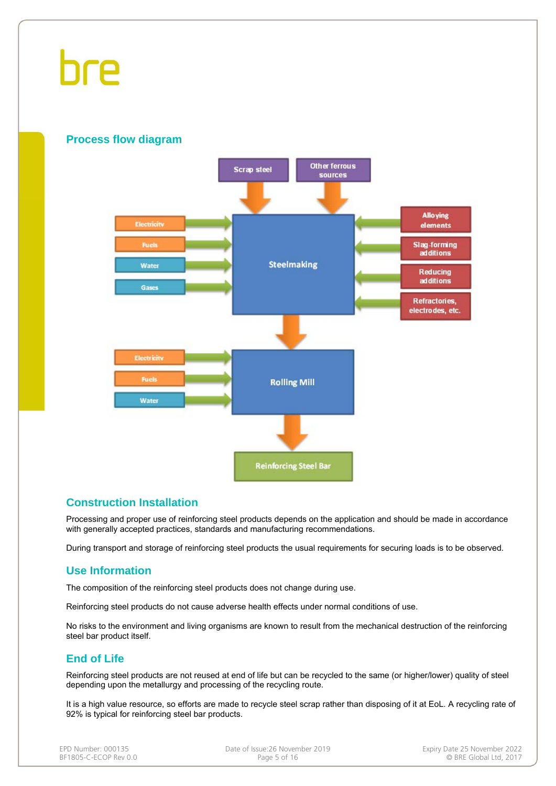#### **Process flow diagram**



#### **Construction Installation**

Processing and proper use of reinforcing steel products depends on the application and should be made in accordance with generally accepted practices, standards and manufacturing recommendations.

During transport and storage of reinforcing steel products the usual requirements for securing loads is to be observed.

#### **Use Information**

The composition of the reinforcing steel products does not change during use.

Reinforcing steel products do not cause adverse health effects under normal conditions of use.

No risks to the environment and living organisms are known to result from the mechanical destruction of the reinforcing steel bar product itself.

#### **End of Life**

Reinforcing steel products are not reused at end of life but can be recycled to the same (or higher/lower) quality of steel depending upon the metallurgy and processing of the recycling route.

It is a high value resource, so efforts are made to recycle steel scrap rather than disposing of it at EoL. A recycling rate of 92% is typical for reinforcing steel bar products.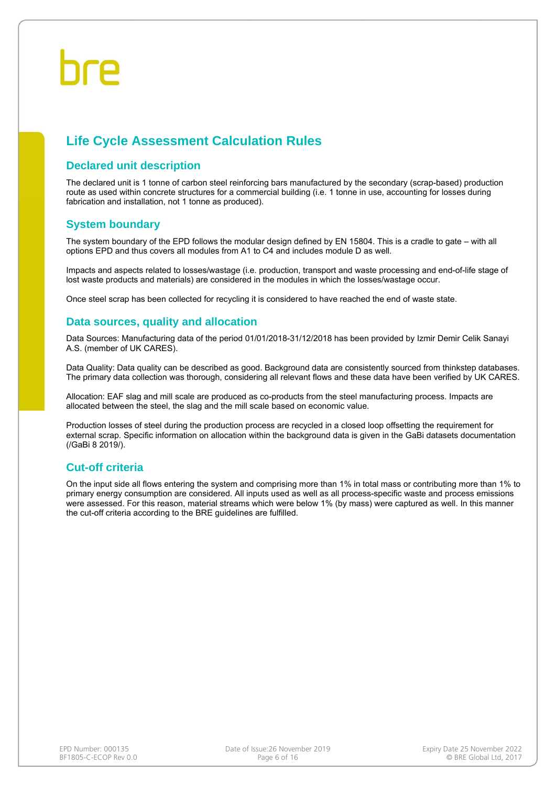## **Life Cycle Assessment Calculation Rules**

#### **Declared unit description**

The declared unit is 1 tonne of carbon steel reinforcing bars manufactured by the secondary (scrap-based) production route as used within concrete structures for a commercial building (i.e. 1 tonne in use, accounting for losses during fabrication and installation, not 1 tonne as produced).

#### **System boundary**

The system boundary of the EPD follows the modular design defined by EN 15804. This is a cradle to gate – with all options EPD and thus covers all modules from A1 to C4 and includes module D as well.

Impacts and aspects related to losses/wastage (i.e. production, transport and waste processing and end-of-life stage of lost waste products and materials) are considered in the modules in which the losses/wastage occur.

Once steel scrap has been collected for recycling it is considered to have reached the end of waste state.

#### **Data sources, quality and allocation**

Data Sources: Manufacturing data of the period 01/01/2018-31/12/2018 has been provided by Izmir Demir Celik Sanayi A.S. (member of UK CARES).

Data Quality: Data quality can be described as good. Background data are consistently sourced from thinkstep databases. The primary data collection was thorough, considering all relevant flows and these data have been verified by UK CARES.

Allocation: EAF slag and mill scale are produced as co-products from the steel manufacturing process. Impacts are allocated between the steel, the slag and the mill scale based on economic value.

Production losses of steel during the production process are recycled in a closed loop offsetting the requirement for external scrap. Specific information on allocation within the background data is given in the GaBi datasets documentation (/GaBi 8 2019/).

#### **Cut-off criteria**

On the input side all flows entering the system and comprising more than 1% in total mass or contributing more than 1% to primary energy consumption are considered. All inputs used as well as all process-specific waste and process emissions were assessed. For this reason, material streams which were below 1% (by mass) were captured as well. In this manner the cut-off criteria according to the BRE guidelines are fulfilled.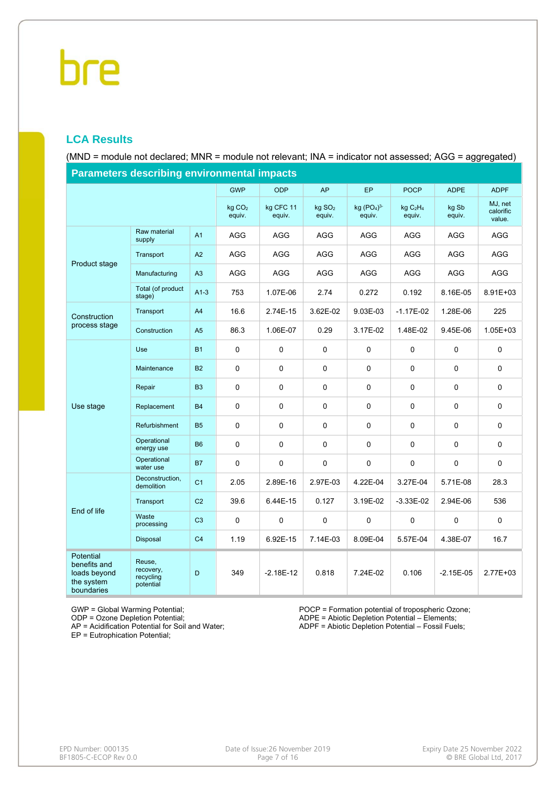### **LCA Results**

(MND = module not declared; MNR = module not relevant; INA = indicator not assessed; AGG = aggregated)

| Parameters describing environmental impacts                           |                                               |                |                              |                     |                              |                                              |                                            |                 |                                |
|-----------------------------------------------------------------------|-----------------------------------------------|----------------|------------------------------|---------------------|------------------------------|----------------------------------------------|--------------------------------------------|-----------------|--------------------------------|
|                                                                       |                                               |                | <b>GWP</b>                   | <b>ODP</b>          | <b>AP</b>                    | EP                                           | <b>POCP</b>                                | <b>ADPE</b>     | <b>ADPF</b>                    |
|                                                                       |                                               |                | kg CO <sub>2</sub><br>equiv. | kg CFC 11<br>equiv. | kg SO <sub>2</sub><br>equiv. | kg (PO <sub>4</sub> ) <sup>3</sup><br>equiv. | kg C <sub>2</sub> H <sub>4</sub><br>equiv. | kg Sb<br>equiv. | MJ, net<br>calorific<br>value. |
|                                                                       | Raw material<br>supply                        | A1             | AGG                          | AGG                 | <b>AGG</b>                   | AGG                                          | AGG                                        | AGG             | <b>AGG</b>                     |
|                                                                       | Transport                                     | A2             | <b>AGG</b>                   | AGG                 | <b>AGG</b>                   | AGG                                          | AGG                                        | <b>AGG</b>      | AGG                            |
| Product stage                                                         | Manufacturing                                 | A3             | AGG                          | AGG                 | AGG                          | AGG                                          | AGG                                        | AGG             | AGG                            |
|                                                                       | Total (of product<br>stage)                   | $A1-3$         | 753                          | 1.07E-06            | 2.74                         | 0.272                                        | 0.192                                      | 8.16E-05        | 8.91E+03                       |
| Construction                                                          | Transport                                     | A4             | 16.6                         | 2.74E-15            | 3.62E-02                     | 9.03E-03                                     | $-1.17E-02$                                | 1.28E-06        | 225                            |
| process stage                                                         | Construction                                  | A <sub>5</sub> | 86.3                         | 1.06E-07            | 0.29                         | 3.17E-02                                     | 1.48E-02                                   | 9.45E-06        | $1.05E + 03$                   |
|                                                                       | <b>Use</b>                                    | <b>B1</b>      | 0                            | $\mathbf 0$         | 0                            | 0                                            | 0                                          | 0               | $\mathbf 0$                    |
|                                                                       | Maintenance                                   | <b>B2</b>      | 0                            | $\pmb{0}$           | $\pmb{0}$                    | $\mathbf 0$                                  | 0                                          | 0               | $\pmb{0}$                      |
|                                                                       | Repair                                        | B <sub>3</sub> | 0                            | $\mathbf 0$         | $\mathbf 0$                  | $\mathbf 0$                                  | 0                                          | 0               | $\mathbf 0$                    |
| Use stage                                                             | Replacement                                   | <b>B4</b>      | 0                            | $\mathbf 0$         | 0                            | 0                                            | 0                                          | 0               | $\mathsf{O}\xspace$            |
|                                                                       | Refurbishment                                 | <b>B5</b>      | 0                            | 0                   | $\mathbf 0$                  | $\mathbf 0$                                  | 0                                          | 0               | $\mathbf 0$                    |
|                                                                       | Operational<br>energy use                     | <b>B6</b>      | 0                            | $\pmb{0}$           | 0                            | 0                                            | 0                                          | 0               | $\pmb{0}$                      |
|                                                                       | Operational<br>water use                      | <b>B7</b>      | 0                            | $\mathbf 0$         | $\mathbf 0$                  | $\mathbf 0$                                  | 0                                          | 0               | $\mathbf 0$                    |
|                                                                       | Deconstruction,<br>demolition                 | C <sub>1</sub> | 2.05                         | 2.89E-16            | 2.97E-03                     | 4.22E-04                                     | 3.27E-04                                   | 5.71E-08        | 28.3                           |
|                                                                       | Transport                                     | C <sub>2</sub> | 39.6                         | 6.44E-15            | 0.127                        | 3.19E-02                                     | $-3.33E-02$                                | 2.94E-06        | 536                            |
| End of life                                                           | Waste<br>processing                           | C <sub>3</sub> | 0                            | $\pmb{0}$           | $\pmb{0}$                    | 0                                            | 0                                          | 0               | $\mathsf{O}\xspace$            |
|                                                                       | Disposal                                      | C <sub>4</sub> | 1.19                         | 6.92E-15            | 7.14E-03                     | 8.09E-04                                     | 5.57E-04                                   | 4.38E-07        | 16.7                           |
| Potential<br>benefits and<br>loads beyond<br>the system<br>boundaries | Reuse,<br>recovery,<br>recycling<br>potential | D              | 349                          | $-2.18E-12$         | 0.818                        | 7.24E-02                                     | 0.106                                      | $-2.15E-05$     | 2.77E+03                       |

**Parameters describing environmental impacts**

GWP = Global Warming Potential;

ODP = Ozone Depletion Potential;

AP = Acidification Potential for Soil and Water;

EP = Eutrophication Potential;

POCP = Formation potential of tropospheric Ozone; ADPE = Abiotic Depletion Potential – Elements;

ADPF = Abiotic Depletion Potential – Fossil Fuels;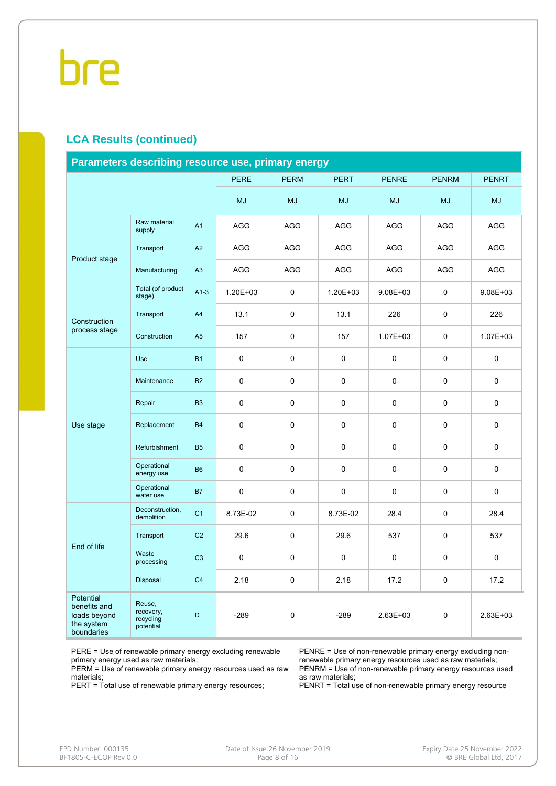#### **LCA Results (continued)**

| Parameters describing resource use, primary energy                    |                                               |                |             |             |             |              |              |              |  |  |
|-----------------------------------------------------------------------|-----------------------------------------------|----------------|-------------|-------------|-------------|--------------|--------------|--------------|--|--|
|                                                                       |                                               |                | <b>PERE</b> | <b>PERM</b> | <b>PERT</b> | <b>PENRE</b> | <b>PENRM</b> | <b>PENRT</b> |  |  |
|                                                                       |                                               |                | <b>MJ</b>   | <b>MJ</b>   | MJ          | <b>MJ</b>    | <b>MJ</b>    | <b>MJ</b>    |  |  |
|                                                                       | Raw material<br>supply                        | A1             | AGG         | <b>AGG</b>  | <b>AGG</b>  | <b>AGG</b>   | <b>AGG</b>   | AGG          |  |  |
| Product stage                                                         | Transport                                     | A2             | AGG         | AGG         | AGG         | <b>AGG</b>   | AGG          | AGG          |  |  |
|                                                                       | Manufacturing                                 | A3             | AGG         | AGG         | AGG         | AGG          | AGG          | AGG          |  |  |
|                                                                       | Total (of product<br>stage)                   | $A1-3$         | 1.20E+03    | 0           | 1.20E+03    | 9.08E+03     | $\mathbf 0$  | 9.08E+03     |  |  |
| Construction                                                          | Transport                                     | A4             | 13.1        | 0           | 13.1        | 226          | 0            | 226          |  |  |
| process stage                                                         | Construction                                  | A <sub>5</sub> | 157         | 0           | 157         | 1.07E+03     | 0            | $1.07E + 03$ |  |  |
|                                                                       | Use                                           | <b>B1</b>      | $\mathbf 0$ | $\mathbf 0$ | 0           | $\Omega$     | $\mathbf 0$  | $\mathbf 0$  |  |  |
|                                                                       | Maintenance                                   | <b>B2</b>      | 0           | 0           | 0           | 0            | 0            | 0            |  |  |
|                                                                       | Repair                                        | B <sub>3</sub> | 0           | 0           | 0           | $\mathbf 0$  | 0            | 0            |  |  |
| Use stage                                                             | Replacement                                   | <b>B4</b>      | 0           | $\pmb{0}$   | 0           | 0            | $\mathbf 0$  | 0            |  |  |
|                                                                       | Refurbishment                                 | <b>B5</b>      | 0           | 0           | 0           | 0            | $\mathbf 0$  | 0            |  |  |
|                                                                       | Operational<br>energy use                     | <b>B6</b>      | 0           | 0           | 0           | $\Omega$     | $\mathbf 0$  | $\mathbf 0$  |  |  |
|                                                                       | Operational<br>water use                      | <b>B7</b>      | 0           | 0           | 0           | 0            | $\mathbf 0$  | 0            |  |  |
|                                                                       | Deconstruction,<br>demolition                 | C <sub>1</sub> | 8.73E-02    | $\mathbf 0$ | 8.73E-02    | 28.4         | $\mathbf 0$  | 28.4         |  |  |
| End of life                                                           | Transport                                     | C <sub>2</sub> | 29.6        | 0           | 29.6        | 537          | 0            | 537          |  |  |
|                                                                       | Waste<br>processing                           | C <sub>3</sub> | 0           | 0           | 0           | $\mathbf 0$  | 0            | 0            |  |  |
|                                                                       | Disposal                                      | C <sub>4</sub> | 2.18        | 0           | 2.18        | 17.2         | $\mathbf 0$  | 17.2         |  |  |
| Potential<br>benefits and<br>loads beyond<br>the system<br>boundaries | Reuse,<br>recovery,<br>recycling<br>potential | D              | $-289$      | 0           | $-289$      | 2.63E+03     | $\pmb{0}$    | 2.63E+03     |  |  |

PERE = Use of renewable primary energy excluding renewable primary energy used as raw materials;

PERM = Use of renewable primary energy resources used as raw materials;

PERT = Total use of renewable primary energy resources;

PENRE = Use of non-renewable primary energy excluding nonrenewable primary energy resources used as raw materials; PENRM = Use of non-renewable primary energy resources used as raw materials;

PENRT = Total use of non-renewable primary energy resource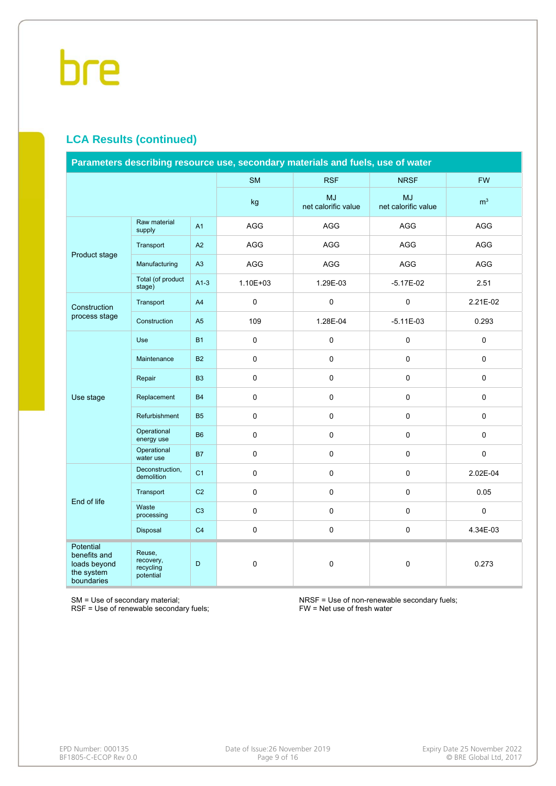### **LCA Results (continued)**

| Parameters describing resource use, secondary materials and fuels, use of water |                                               |                |             |                                  |                                  |                |  |  |  |
|---------------------------------------------------------------------------------|-----------------------------------------------|----------------|-------------|----------------------------------|----------------------------------|----------------|--|--|--|
|                                                                                 |                                               |                | <b>SM</b>   | <b>RSF</b>                       | <b>NRSF</b>                      | <b>FW</b>      |  |  |  |
|                                                                                 |                                               |                | kg          | <b>MJ</b><br>net calorific value | <b>MJ</b><br>net calorific value | m <sup>3</sup> |  |  |  |
|                                                                                 | Raw material<br>supply                        | A1             | <b>AGG</b>  | AGG                              | <b>AGG</b>                       | <b>AGG</b>     |  |  |  |
| Product stage                                                                   | Transport                                     | A2             | AGG         | AGG                              | AGG                              | AGG            |  |  |  |
|                                                                                 | Manufacturing                                 | A3             | AGG         | AGG                              | AGG                              | AGG            |  |  |  |
|                                                                                 | Total (of product<br>stage)                   | $A1-3$         | 1.10E+03    | 1.29E-03                         | $-5.17E-02$                      | 2.51           |  |  |  |
| Construction                                                                    | Transport                                     | A4             | $\pmb{0}$   | 0                                | $\pmb{0}$                        | 2.21E-02       |  |  |  |
| process stage                                                                   | Construction                                  | A <sub>5</sub> | 109         | 1.28E-04                         | $-5.11E-03$                      | 0.293          |  |  |  |
|                                                                                 | Use                                           | <b>B1</b>      | $\pmb{0}$   | 0                                | 0                                | 0              |  |  |  |
|                                                                                 | Maintenance                                   | <b>B2</b>      | $\mathbf 0$ | $\Omega$                         | $\mathbf 0$                      | $\mathbf 0$    |  |  |  |
|                                                                                 | Repair                                        | B <sub>3</sub> | $\pmb{0}$   | 0                                | 0                                | $\mathsf 0$    |  |  |  |
| Use stage                                                                       | Replacement                                   | <b>B4</b>      | 0           | 0                                | 0                                | 0              |  |  |  |
|                                                                                 | Refurbishment                                 | <b>B5</b>      | $\pmb{0}$   | 0                                | 0                                | 0              |  |  |  |
|                                                                                 | Operational<br>energy use                     | <b>B6</b>      | $\mathbf 0$ | 0                                | 0                                | 0              |  |  |  |
|                                                                                 | Operational<br>water use                      | <b>B7</b>      | $\pmb{0}$   | $\mathsf 0$                      | $\pmb{0}$                        | $\pmb{0}$      |  |  |  |
|                                                                                 | Deconstruction,<br>demolition                 | C <sub>1</sub> | $\pmb{0}$   | 0                                | 0                                | 2.02E-04       |  |  |  |
| End of life                                                                     | Transport                                     | C <sub>2</sub> | $\mathbf 0$ | $\mathbf 0$                      | $\mathbf 0$                      | 0.05           |  |  |  |
|                                                                                 | Waste<br>processing                           | C <sub>3</sub> | $\pmb{0}$   | 0                                | 0                                | $\pmb{0}$      |  |  |  |
|                                                                                 | Disposal                                      | C <sub>4</sub> | $\pmb{0}$   | 0                                | $\pmb{0}$                        | 4.34E-03       |  |  |  |
| Potential<br>benefits and<br>loads beyond<br>the system<br>boundaries           | Reuse,<br>recovery,<br>recycling<br>potential | D              | $\pmb{0}$   | $\mathbf 0$                      | $\pmb{0}$                        | 0.273          |  |  |  |

SM = Use of secondary material;

RSF = Use of renewable secondary fuels;

NRSF = Use of non-renewable secondary fuels; FW = Net use of fresh water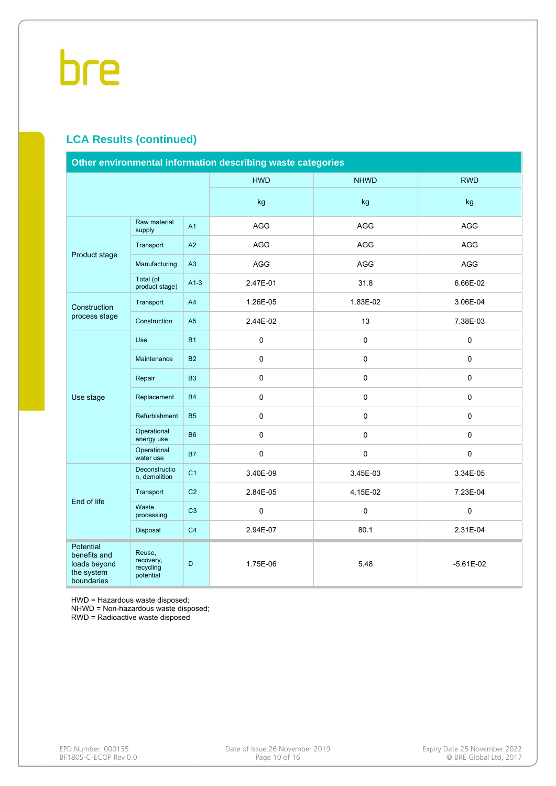### **LCA Results (continued)**

| Other environmental information describing waste categories           |                                               |                |             |             |                     |  |  |  |
|-----------------------------------------------------------------------|-----------------------------------------------|----------------|-------------|-------------|---------------------|--|--|--|
|                                                                       |                                               |                | <b>HWD</b>  | <b>NHWD</b> | <b>RWD</b>          |  |  |  |
|                                                                       |                                               |                | kg          | kg          | kg                  |  |  |  |
|                                                                       | Raw material<br>supply                        | A <sub>1</sub> | <b>AGG</b>  | <b>AGG</b>  | <b>AGG</b>          |  |  |  |
| Product stage                                                         | Transport                                     | A2             | <b>AGG</b>  | <b>AGG</b>  | <b>AGG</b>          |  |  |  |
|                                                                       | Manufacturing                                 | A3             | AGG         | AGG         | AGG                 |  |  |  |
|                                                                       | Total (of<br>product stage)                   | $A1-3$         | 2.47E-01    | 31.8        | 6.66E-02            |  |  |  |
| Construction                                                          | Transport                                     | A4             | 1.26E-05    | 1.83E-02    | 3.06E-04            |  |  |  |
| process stage                                                         | Construction                                  | A <sub>5</sub> | 2.44E-02    | 13          | 7.38E-03            |  |  |  |
|                                                                       | Use                                           | <b>B1</b>      | 0           | 0           | 0                   |  |  |  |
|                                                                       | Maintenance                                   | <b>B2</b>      | $\mathbf 0$ | 0           | 0                   |  |  |  |
|                                                                       | Repair                                        | B <sub>3</sub> | $\mathbf 0$ | 0           | $\mathsf{O}\xspace$ |  |  |  |
| Use stage                                                             | Replacement                                   | <b>B4</b>      | $\pmb{0}$   | 0           | $\mathsf{O}\xspace$ |  |  |  |
|                                                                       | Refurbishment                                 | <b>B5</b>      | $\pmb{0}$   | 0           | $\mathsf{O}\xspace$ |  |  |  |
|                                                                       | Operational<br>energy use                     | <b>B6</b>      | $\Omega$    | 0           | $\mathbf 0$         |  |  |  |
|                                                                       | Operational<br>water use                      | <b>B7</b>      | $\mathbf 0$ | 0           | $\mathbf 0$         |  |  |  |
|                                                                       | Deconstructio<br>n, demolition                | C <sub>1</sub> | 3.40E-09    | 3.45E-03    | 3.34E-05            |  |  |  |
| End of life                                                           | Transport                                     | C <sub>2</sub> | 2.84E-05    | 4.15E-02    | 7.23E-04            |  |  |  |
|                                                                       | Waste<br>processing                           | C <sub>3</sub> | $\pmb{0}$   | 0           | $\pmb{0}$           |  |  |  |
|                                                                       | Disposal                                      | C <sub>4</sub> | 2.94E-07    | 80.1        | 2.31E-04            |  |  |  |
| Potential<br>benefits and<br>loads beyond<br>the system<br>boundaries | Reuse,<br>recovery,<br>recycling<br>potential | D              | 1.75E-06    | 5.48        | $-5.61E-02$         |  |  |  |

HWD = Hazardous waste disposed;

NHWD = Non-hazardous waste disposed;

RWD = Radioactive waste disposed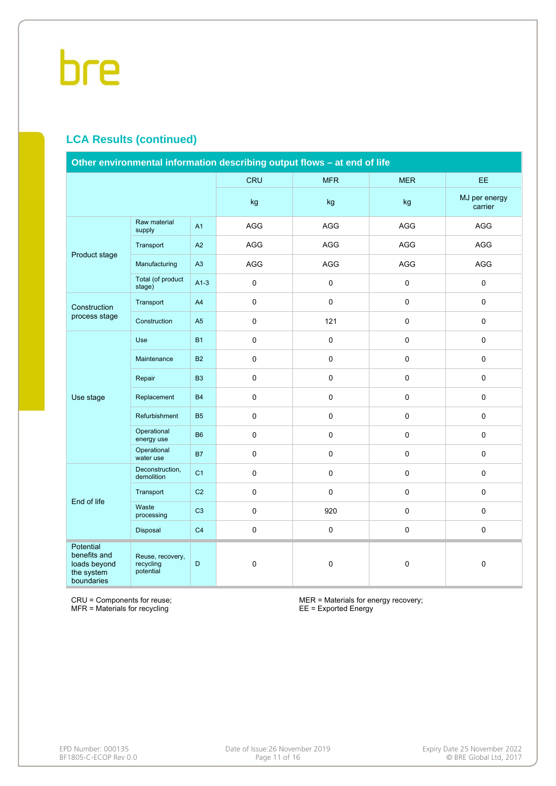#### **LCA Results (continued)**

| Other environmental information describing output flows - at end of life |                                            |                |                     |                     |             |                          |  |  |  |
|--------------------------------------------------------------------------|--------------------------------------------|----------------|---------------------|---------------------|-------------|--------------------------|--|--|--|
|                                                                          |                                            |                | <b>CRU</b>          | <b>MFR</b>          | <b>MER</b>  | EE.                      |  |  |  |
|                                                                          |                                            |                | kg                  | kg                  | kg          | MJ per energy<br>carrier |  |  |  |
|                                                                          | Raw material<br>supply                     | A1             | AGG                 | AGG                 | AGG         | AGG                      |  |  |  |
| Product stage                                                            | Transport                                  | A2             | AGG                 | AGG                 | AGG         | AGG                      |  |  |  |
|                                                                          | Manufacturing                              | A3             | AGG                 | AGG                 | AGG         | AGG                      |  |  |  |
|                                                                          | Total (of product<br>stage)                | $A1-3$         | $\mathbf 0$         | $\pmb{0}$           | $\Omega$    | $\mathbf 0$              |  |  |  |
| Construction                                                             | Transport                                  | A <sub>4</sub> | $\mathbf 0$         | $\pmb{0}$           | $\mathbf 0$ | $\mathbf 0$              |  |  |  |
| process stage                                                            | Construction                               | A5             | $\mathsf{O}\xspace$ | 121                 | 0           | $\pmb{0}$                |  |  |  |
|                                                                          | Use                                        | <b>B1</b>      | $\mathsf{O}\xspace$ | $\pmb{0}$           | $\pmb{0}$   | $\pmb{0}$                |  |  |  |
|                                                                          | Maintenance                                | <b>B2</b>      | $\pmb{0}$           | $\pmb{0}$           | $\pmb{0}$   | $\mathbf 0$              |  |  |  |
|                                                                          | Repair                                     | B <sub>3</sub> | $\mathsf 0$         | $\pmb{0}$           | $\pmb{0}$   | $\pmb{0}$                |  |  |  |
| Use stage                                                                | Replacement                                | <b>B4</b>      | $\mathsf{O}\xspace$ | $\pmb{0}$           | $\pmb{0}$   | $\pmb{0}$                |  |  |  |
|                                                                          | Refurbishment                              | <b>B5</b>      | $\mathbf 0$         | $\mathsf 0$         | $\mathbf 0$ | $\mathbf 0$              |  |  |  |
|                                                                          | Operational<br>energy use                  | <b>B6</b>      | $\pmb{0}$           | $\pmb{0}$           | $\pmb{0}$   | $\mathsf 0$              |  |  |  |
|                                                                          | Operational<br>water use                   | <b>B7</b>      | $\pmb{0}$           | $\pmb{0}$           | $\pmb{0}$   | $\pmb{0}$                |  |  |  |
|                                                                          | Deconstruction,<br>demolition              | C <sub>1</sub> | $\mathsf{O}\xspace$ | $\mathsf{O}\xspace$ | $\mathbf 0$ | $\pmb{0}$                |  |  |  |
| End of life                                                              | Transport                                  | C <sub>2</sub> | $\pmb{0}$           | $\pmb{0}$           | $\mathbf 0$ | $\pmb{0}$                |  |  |  |
|                                                                          | Waste<br>processing                        | C <sub>3</sub> | $\mathsf 0$         | 920                 | $\pmb{0}$   | $\pmb{0}$                |  |  |  |
|                                                                          | Disposal                                   | C <sub>4</sub> | $\mathsf{O}\xspace$ | $\pmb{0}$           | $\pmb{0}$   | $\pmb{0}$                |  |  |  |
| Potential<br>benefits and<br>loads beyond<br>the system<br>boundaries    | Reuse, recovery,<br>recycling<br>potential | D              | $\mathsf 0$         | 0                   | $\pmb{0}$   | $\mathbf 0$              |  |  |  |

CRU = Components for reuse; MFR = Materials for recycling

MER = Materials for energy recovery; EE = Exported Energy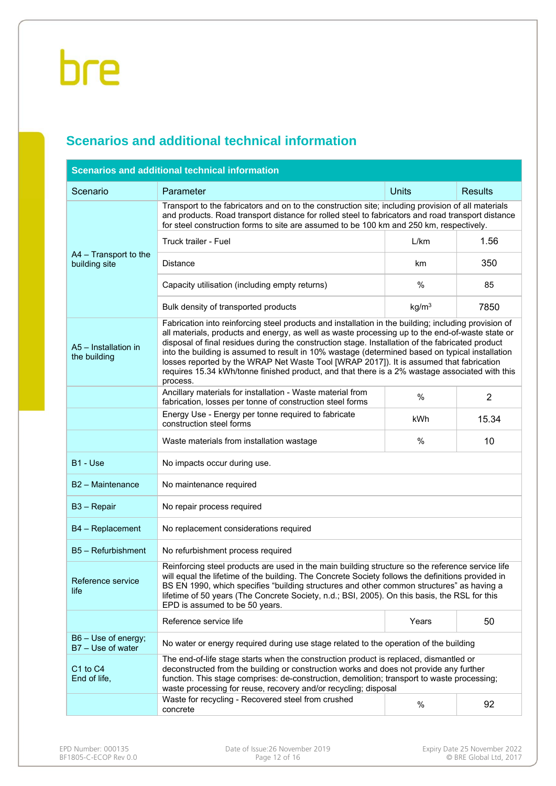### **Scenarios and additional technical information**

| <b>Scenarios and additional technical information</b> |                                                                                                                                                                                                                                                                                                                                                                                                                                                                                                                                                                                                                         |                   |                |  |  |  |  |  |  |
|-------------------------------------------------------|-------------------------------------------------------------------------------------------------------------------------------------------------------------------------------------------------------------------------------------------------------------------------------------------------------------------------------------------------------------------------------------------------------------------------------------------------------------------------------------------------------------------------------------------------------------------------------------------------------------------------|-------------------|----------------|--|--|--|--|--|--|
| Scenario                                              | Parameter                                                                                                                                                                                                                                                                                                                                                                                                                                                                                                                                                                                                               | <b>Units</b>      | <b>Results</b> |  |  |  |  |  |  |
|                                                       | Transport to the fabricators and on to the construction site; including provision of all materials<br>and products. Road transport distance for rolled steel to fabricators and road transport distance<br>for steel construction forms to site are assumed to be 100 km and 250 km, respectively.                                                                                                                                                                                                                                                                                                                      |                   |                |  |  |  |  |  |  |
|                                                       | Truck trailer - Fuel                                                                                                                                                                                                                                                                                                                                                                                                                                                                                                                                                                                                    | L/km              | 1.56           |  |  |  |  |  |  |
| A4 - Transport to the<br>building site                | <b>Distance</b>                                                                                                                                                                                                                                                                                                                                                                                                                                                                                                                                                                                                         | km                | 350            |  |  |  |  |  |  |
|                                                       | Capacity utilisation (including empty returns)                                                                                                                                                                                                                                                                                                                                                                                                                                                                                                                                                                          | $\%$              | 85             |  |  |  |  |  |  |
|                                                       | Bulk density of transported products                                                                                                                                                                                                                                                                                                                                                                                                                                                                                                                                                                                    | kg/m <sup>3</sup> | 7850           |  |  |  |  |  |  |
| A5 - Installation in<br>the building                  | Fabrication into reinforcing steel products and installation in the building; including provision of<br>all materials, products and energy, as well as waste processing up to the end-of-waste state or<br>disposal of final residues during the construction stage. Installation of the fabricated product<br>into the building is assumed to result in 10% wastage (determined based on typical installation<br>losses reported by the WRAP Net Waste Tool [WRAP 2017]). It is assumed that fabrication<br>requires 15.34 kWh/tonne finished product, and that there is a 2% wastage associated with this<br>process. |                   |                |  |  |  |  |  |  |
|                                                       | Ancillary materials for installation - Waste material from<br>fabrication, losses per tonne of construction steel forms                                                                                                                                                                                                                                                                                                                                                                                                                                                                                                 | %                 | $\overline{2}$ |  |  |  |  |  |  |
|                                                       | Energy Use - Energy per tonne required to fabricate<br>construction steel forms                                                                                                                                                                                                                                                                                                                                                                                                                                                                                                                                         | kWh               | 15.34          |  |  |  |  |  |  |
|                                                       | Waste materials from installation wastage                                                                                                                                                                                                                                                                                                                                                                                                                                                                                                                                                                               | %                 | 10             |  |  |  |  |  |  |
| B1 - Use                                              | No impacts occur during use.                                                                                                                                                                                                                                                                                                                                                                                                                                                                                                                                                                                            |                   |                |  |  |  |  |  |  |
| B <sub>2</sub> - Maintenance                          | No maintenance required                                                                                                                                                                                                                                                                                                                                                                                                                                                                                                                                                                                                 |                   |                |  |  |  |  |  |  |
| B <sub>3</sub> - Repair                               | No repair process required                                                                                                                                                                                                                                                                                                                                                                                                                                                                                                                                                                                              |                   |                |  |  |  |  |  |  |
| B4 - Replacement                                      | No replacement considerations required                                                                                                                                                                                                                                                                                                                                                                                                                                                                                                                                                                                  |                   |                |  |  |  |  |  |  |
| B5 - Refurbishment                                    | No refurbishment process required                                                                                                                                                                                                                                                                                                                                                                                                                                                                                                                                                                                       |                   |                |  |  |  |  |  |  |
| Reference service<br>life                             | Reinforcing steel products are used in the main building structure so the reference service life<br>will equal the lifetime of the building. The Concrete Society follows the definitions provided in<br>BS EN 1990, which specifies "building structures and other common structures" as having a<br>lifetime of 50 years (The Concrete Society, n.d.; BSI, 2005). On this basis, the RSL for this<br>EPD is assumed to be 50 years.                                                                                                                                                                                   |                   |                |  |  |  |  |  |  |
|                                                       | Reference service life                                                                                                                                                                                                                                                                                                                                                                                                                                                                                                                                                                                                  | Years             | 50             |  |  |  |  |  |  |
| B6 - Use of energy;<br>B7 - Use of water              | No water or energy required during use stage related to the operation of the building                                                                                                                                                                                                                                                                                                                                                                                                                                                                                                                                   |                   |                |  |  |  |  |  |  |
| C1 to C4<br>End of life,                              | The end-of-life stage starts when the construction product is replaced, dismantled or<br>deconstructed from the building or construction works and does not provide any further<br>function. This stage comprises: de-construction, demolition; transport to waste processing;<br>waste processing for reuse, recovery and/or recycling; disposal                                                                                                                                                                                                                                                                       |                   |                |  |  |  |  |  |  |
|                                                       | Waste for recycling - Recovered steel from crushed<br>concrete                                                                                                                                                                                                                                                                                                                                                                                                                                                                                                                                                          | %                 | 92             |  |  |  |  |  |  |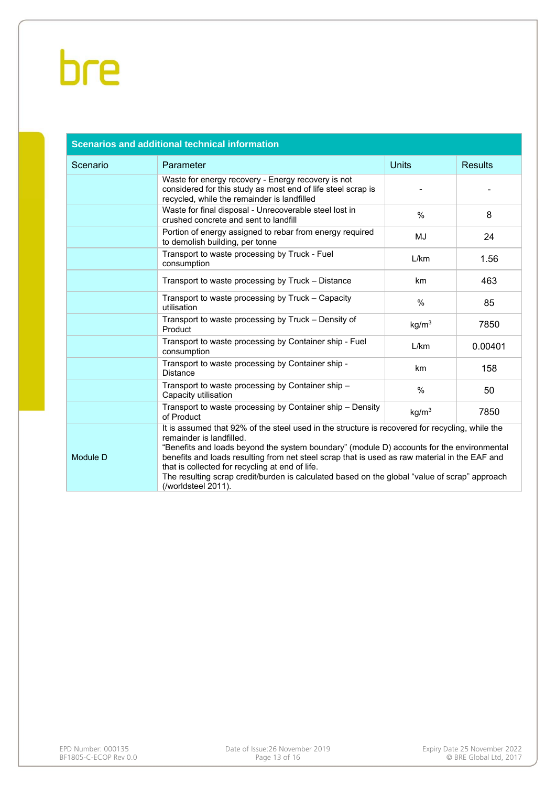| <b>Scenarios and additional technical information</b> |                                                                                                                                                                                                                                                                                                                                                                                                                                                                                                      |                   |                |  |
|-------------------------------------------------------|------------------------------------------------------------------------------------------------------------------------------------------------------------------------------------------------------------------------------------------------------------------------------------------------------------------------------------------------------------------------------------------------------------------------------------------------------------------------------------------------------|-------------------|----------------|--|
| Scenario                                              | Parameter                                                                                                                                                                                                                                                                                                                                                                                                                                                                                            | <b>Units</b>      | <b>Results</b> |  |
|                                                       | Waste for energy recovery - Energy recovery is not<br>considered for this study as most end of life steel scrap is<br>recycled, while the remainder is landfilled                                                                                                                                                                                                                                                                                                                                    |                   |                |  |
|                                                       | Waste for final disposal - Unrecoverable steel lost in<br>crushed concrete and sent to landfill                                                                                                                                                                                                                                                                                                                                                                                                      | $\frac{0}{0}$     | 8              |  |
|                                                       | Portion of energy assigned to rebar from energy required<br>to demolish building, per tonne                                                                                                                                                                                                                                                                                                                                                                                                          | MJ                | 24             |  |
|                                                       | Transport to waste processing by Truck - Fuel<br>consumption                                                                                                                                                                                                                                                                                                                                                                                                                                         | L/km              | 1.56           |  |
|                                                       | Transport to waste processing by Truck - Distance                                                                                                                                                                                                                                                                                                                                                                                                                                                    | km                | 463            |  |
|                                                       | Transport to waste processing by Truck - Capacity<br>utilisation                                                                                                                                                                                                                                                                                                                                                                                                                                     | %                 | 85             |  |
|                                                       | Transport to waste processing by Truck - Density of<br>Product                                                                                                                                                                                                                                                                                                                                                                                                                                       | kg/m <sup>3</sup> | 7850           |  |
|                                                       | Transport to waste processing by Container ship - Fuel<br>consumption                                                                                                                                                                                                                                                                                                                                                                                                                                | L/km              | 0.00401        |  |
|                                                       | Transport to waste processing by Container ship -<br><b>Distance</b>                                                                                                                                                                                                                                                                                                                                                                                                                                 | km                | 158            |  |
|                                                       | Transport to waste processing by Container ship -<br>Capacity utilisation                                                                                                                                                                                                                                                                                                                                                                                                                            | %                 | 50             |  |
|                                                       | Transport to waste processing by Container ship - Density<br>of Product                                                                                                                                                                                                                                                                                                                                                                                                                              | kg/m <sup>3</sup> | 7850           |  |
| Module D                                              | It is assumed that 92% of the steel used in the structure is recovered for recycling, while the<br>remainder is landfilled.<br>"Benefits and loads beyond the system boundary" (module D) accounts for the environmental<br>benefits and loads resulting from net steel scrap that is used as raw material in the EAF and<br>that is collected for recycling at end of life.<br>The resulting scrap credit/burden is calculated based on the global "value of scrap" approach<br>(/worldsteel 2011). |                   |                |  |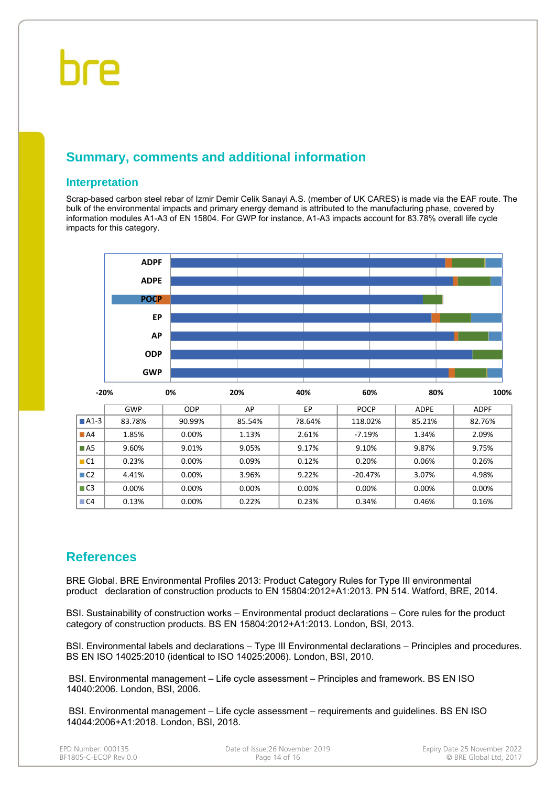### **Summary, comments and additional information**

#### **Interpretation**

Scrap-based carbon steel rebar of Izmir Demir Celik Sanayi A.S. (member of UK CARES) is made via the EAF route. The bulk of the environmental impacts and primary energy demand is attributed to the manufacturing phase, covered by information modules A1-A3 of EN 15804. For GWP for instance, A1-A3 impacts account for 83.78% overall life cycle impacts for this category.



### **References**

BRE Global. BRE Environmental Profiles 2013: Product Category Rules for Type III environmental product declaration of construction products to EN 15804:2012+A1:2013. PN 514. Watford, BRE, 2014.

BSI. Sustainability of construction works – Environmental product declarations – Core rules for the product category of construction products. BS EN 15804:2012+A1:2013. London, BSI, 2013.

BSI. Environmental labels and declarations – Type III Environmental declarations – Principles and procedures. BS EN ISO 14025:2010 (identical to ISO 14025:2006). London, BSI, 2010.

 BSI. Environmental management – Life cycle assessment – Principles and framework. BS EN ISO 14040:2006. London, BSI, 2006.

 BSI. Environmental management – Life cycle assessment – requirements and guidelines. BS EN ISO 14044:2006+A1:2018. London, BSI, 2018.

| EPD Number: 000135    |  |
|-----------------------|--|
| BF1805-C-ECOP Rev 0.0 |  |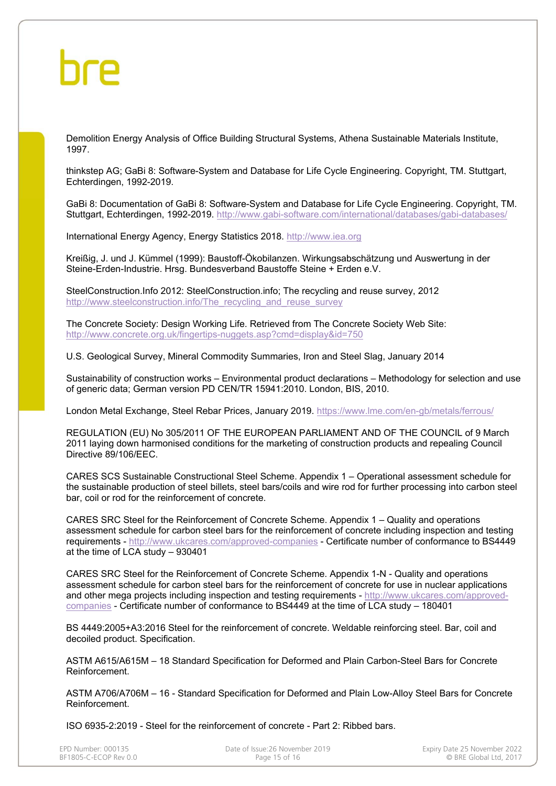Demolition Energy Analysis of Office Building Structural Systems, Athena Sustainable Materials Institute, 1997.

thinkstep AG; GaBi 8: Software-System and Database for Life Cycle Engineering. Copyright, TM. Stuttgart, Echterdingen, 1992-2019.

GaBi 8: Documentation of GaBi 8: Software-System and Database for Life Cycle Engineering. Copyright, TM. Stuttgart, Echterdingen, 1992-2019. http://www.gabi-software.com/international/databases/gabi-databases/

International Energy Agency, Energy Statistics 2018. http://www.iea.org

Kreißig, J. und J. Kümmel (1999): Baustoff-Ökobilanzen. Wirkungsabschätzung und Auswertung in der Steine-Erden-Industrie. Hrsg. Bundesverband Baustoffe Steine + Erden e.V.

SteelConstruction.Info 2012: SteelConstruction.info; The recycling and reuse survey, 2012 http://www.steelconstruction.info/The\_recycling\_and\_reuse\_survey\_

The Concrete Society: Design Working Life. Retrieved from The Concrete Society Web Site: http://www.concrete.org.uk/fingertips-nuggets.asp?cmd=display&id=750

U.S. Geological Survey, Mineral Commodity Summaries, Iron and Steel Slag, January 2014

Sustainability of construction works – Environmental product declarations – Methodology for selection and use of generic data; German version PD CEN/TR 15941:2010. London, BIS, 2010.

London Metal Exchange, Steel Rebar Prices, January 2019. https://www.lme.com/en-gb/metals/ferrous/

REGULATION (EU) No 305/2011 OF THE EUROPEAN PARLIAMENT AND OF THE COUNCIL of 9 March 2011 laying down harmonised conditions for the marketing of construction products and repealing Council Directive 89/106/EEC.

CARES SCS Sustainable Constructional Steel Scheme. Appendix 1 – Operational assessment schedule for the sustainable production of steel billets, steel bars/coils and wire rod for further processing into carbon steel bar, coil or rod for the reinforcement of concrete.

CARES SRC Steel for the Reinforcement of Concrete Scheme. Appendix 1 – Quality and operations assessment schedule for carbon steel bars for the reinforcement of concrete including inspection and testing requirements - http://www.ukcares.com/approved-companies - Certificate number of conformance to BS4449 at the time of LCA study – 930401

CARES SRC Steel for the Reinforcement of Concrete Scheme. Appendix 1-N - Quality and operations assessment schedule for carbon steel bars for the reinforcement of concrete for use in nuclear applications and other mega projects including inspection and testing requirements - http://www.ukcares.com/approvedcompanies - Certificate number of conformance to BS4449 at the time of LCA study – 180401

BS 4449:2005+A3:2016 Steel for the reinforcement of concrete. Weldable reinforcing steel. Bar, coil and decoiled product. Specification.

ASTM A615/A615M – 18 Standard Specification for Deformed and Plain Carbon-Steel Bars for Concrete Reinforcement.

ASTM A706/A706M – 16 - Standard Specification for Deformed and Plain Low-Alloy Steel Bars for Concrete Reinforcement.

ISO 6935-2:2019 - Steel for the reinforcement of concrete - Part 2: Ribbed bars.